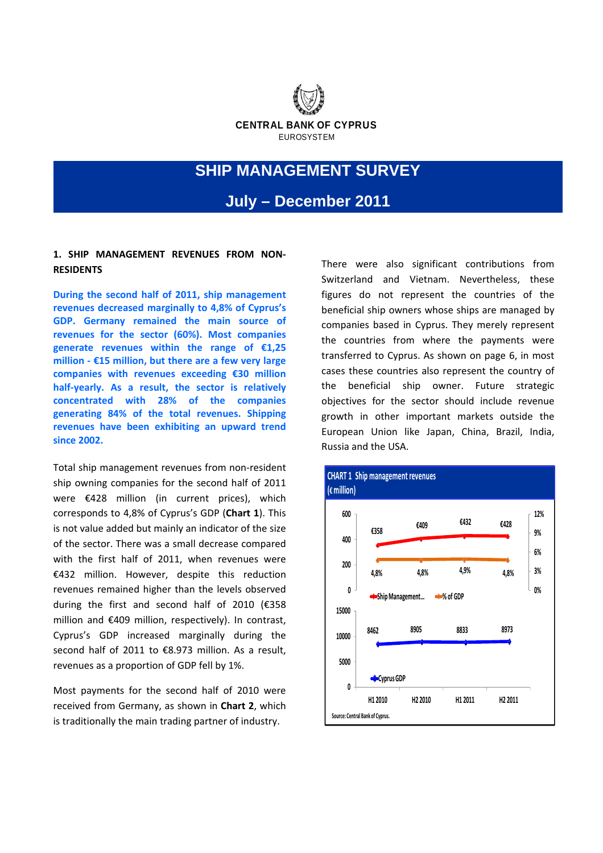

# **SHIP MANAGEMENT SURVEY**

**July – December 2011** 

# **1. SHIP MANAGEMENT REVENUES FROM NON‐ RESIDENTS**

**During the second half of 2011, ship management revenues decreased marginally to 4,8% of Cyprus's GDP. Germany remained the main source of revenues for the sector (60%). Most companies generate revenues within the range of €1,25 million ‐ €15 million, but there are a few very large companies with revenues exceeding €30 million half‐yearly. As a result, the sector is relatively concentrated with 28% of the companies generating 84% of the total revenues. Shipping revenues have been exhibiting an upward trend since 2002.** 

Total ship management revenues from non‐resident ship owning companies for the second half of 2011 were €428 million (in current prices), which corresponds to 4,8% of Cyprus's GDP (**Chart 1**). This is not value added but mainly an indicator of the size of the sector. There was a small decrease compared with the first half of 2011, when revenues were €432 million. However, despite this reduction revenues remained higher than the levels observed during the first and second half of 2010 (€358 million and €409 million, respectively). In contrast, Cyprus's GDP increased marginally during the second half of 2011 to €8.973 million. As a result, revenues as a proportion of GDP fell by 1%.

Most payments for the second half of 2010 were received from Germany, as shown in **Chart 2**, which is traditionally the main trading partner of industry.

There were also significant contributions from Switzerland and Vietnam. Nevertheless, these figures do not represent the countries of the beneficial ship owners whose ships are managed by companies based in Cyprus. They merely represent the countries from where the payments were transferred to Cyprus. As shown on page 6, in most cases these countries also represent the country of the beneficial ship owner. Future strategic objectives for the sector should include revenue growth in other important markets outside the European Union like Japan, China, Brazil, India, Russia and the USA.

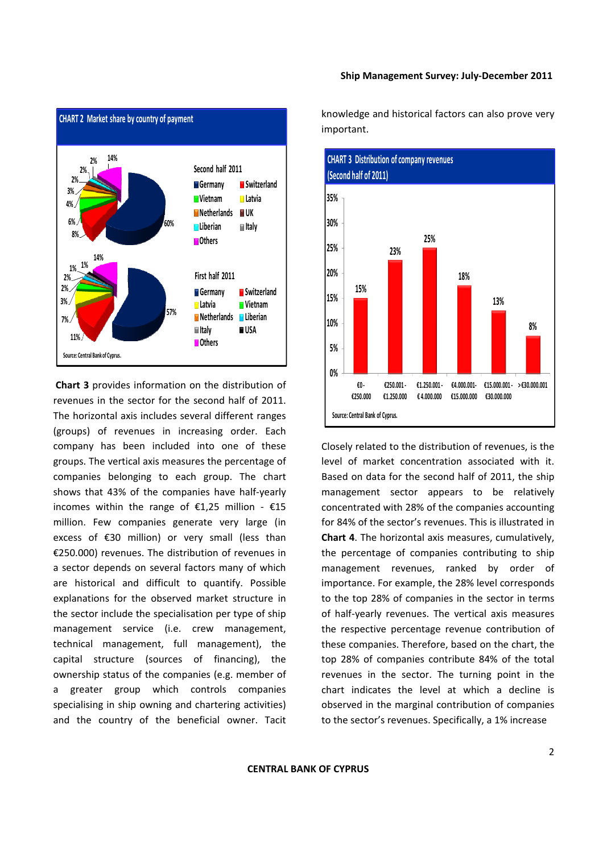

**Chart 3** provides information on the distribution of revenues in the sector for the second half of 2011. The horizontal axis includes several different ranges (groups) of revenues in increasing order. Each company has been included into one of these groups. The vertical axis measures the percentage of companies belonging to each group. The chart shows that 43% of the companies have half-yearly incomes within the range of  $£1,25$  million -  $£15$ million. Few companies generate very large (in excess of €30 million) or very small (less than €250.000) revenues. The distribution of revenues in a sector depends on several factors many of which are historical and difficult to quantify. Possible explanations for the observed market structure in the sector include the specialisation per type of ship management service (i.e. crew management, technical management, full management), the capital structure (sources of financing), the ownership status of the companies (e.g. member of a greater group which controls companies specialising in ship owning and chartering activities) and the country of the beneficial owner. Tacit knowledge and historical factors can also prove very important.



Closely related to the distribution of revenues, is the level of market concentration associated with it. Based on data for the second half of 2011, the ship management sector appears to be relatively concentrated with 28% of the companies accounting for 84% of the sector's revenues. This is illustrated in **Chart 4**. The horizontal axis measures, cumulatively, the percentage of companies contributing to ship management revenues, ranked by order of importance. For example, the 28% level corresponds to the top 28% of companies in the sector in terms of half‐yearly revenues. The vertical axis measures the respective percentage revenue contribution of these companies. Therefore, based on the chart, the top 28% of companies contribute 84% of the total revenues in the sector. The turning point in the chart indicates the level at which a decline is observed in the marginal contribution of companies to the sector's revenues. Specifically, a 1% increase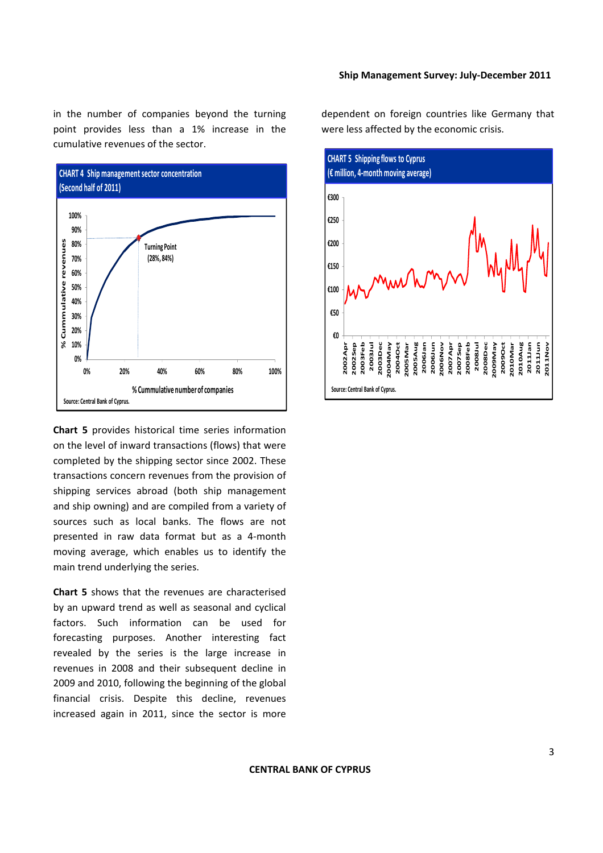in the number of companies beyond the turning point provides less than a 1% increase in the cumulative revenues of the sector.



**Chart 5** provides historical time series information on the level of inward transactions (flows) that were completed by the shipping sector since 2002. These transactions concern revenues from the provision of shipping services abroad (both ship management and ship owning) and are compiled from a variety of sources such as local banks. The flows are not presented in raw data format but as a 4‐month moving average, which enables us to identify the main trend underlying the series.

**Chart 5** shows that the revenues are characterised by an upward trend as well as seasonal and cyclical factors. Such information can be used for forecasting purposes. Another interesting fact revealed by the series is the large increase in revenues in 2008 and their subsequent decline in 2009 and 2010, following the beginning of the global financial crisis. Despite this decline, revenues increased again in 2011, since the sector is more

dependent on foreign countries like Germany that were less affected by the economic crisis.

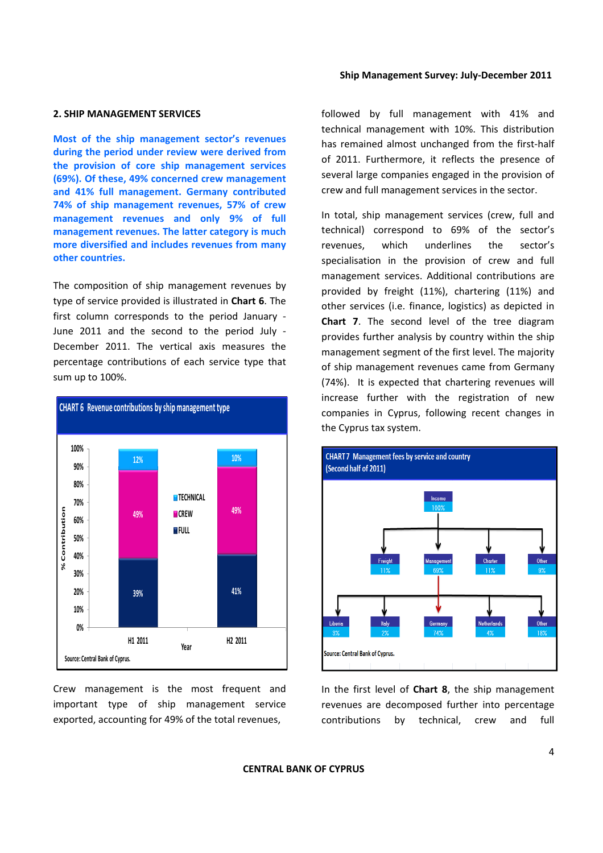#### **2. SHIP MANAGEMENT SERVICES**

**Most of the ship management sector's revenues during the period under review were derived from the provision of core ship management services (69%). Of these, 49% concerned crew management and 41% full management. Germany contributed 74% of ship management revenues, 57% of crew management revenues and only 9% of full management revenues. The latter category is much more diversified and includes revenues from many other countries.**

The composition of ship management revenues by type of service provided is illustrated in **Chart 6**. The first column corresponds to the period January ‐ June 2011 and the second to the period July ‐ December 2011. The vertical axis measures the percentage contributions of each service type that sum up to 100%.



Crew management is the most frequent and important type of ship management service exported, accounting for 49% of the total revenues,

followed by full management with 41% and technical management with 10%. This distribution has remained almost unchanged from the first-half of 2011. Furthermore, it reflects the presence of several large companies engaged in the provision of crew and full management services in the sector.

In total, ship management services (crew, full and technical) correspond to 69% of the sector's revenues, which underlines the sector's specialisation in the provision of crew and full management services. Additional contributions are provided by freight (11%), chartering (11%) and other services (i.e. finance, logistics) as depicted in **Chart 7**. The second level of the tree diagram provides further analysis by country within the ship management segment of the first level. The majority of ship management revenues came from Germany (74%). It is expected that chartering revenues will increase further with the registration of new companies in Cyprus, following recent changes in the Cyprus tax system.



In the first level of **Chart 8**, the ship management revenues are decomposed further into percentage contributions by technical, crew and full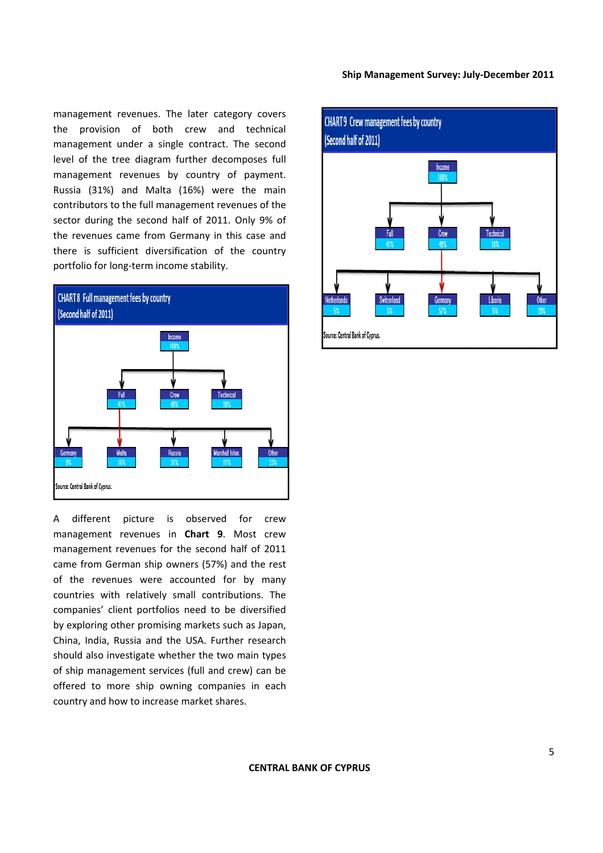management revenues. The later category covers the provision of both crew and technical management under a single contract. The second level of the tree diagram further decomposes full management revenues by country of payment. Russia (31%) and Malta (16%) were the main contributors to the full management revenues of the sector during the second half of 2011. Only 9% of the revenues came from Germany in this case and there is sufficient diversification of the country portfolio for long‐term income stability.



A different picture is observed for crew management revenues in **Chart 9**. Most crew management revenues for the second half of 2011 came from German ship owners (57%) and the rest of the revenues were accounted for by many countries with relatively small contributions. The companies' client portfolios need to be diversified by exploring other promising markets such as Japan, China, India, Russia and the USA. Further research should also investigate whether the two main types of ship management services (full and crew) can be offered to more ship owning companies in each country and how to increase market shares.

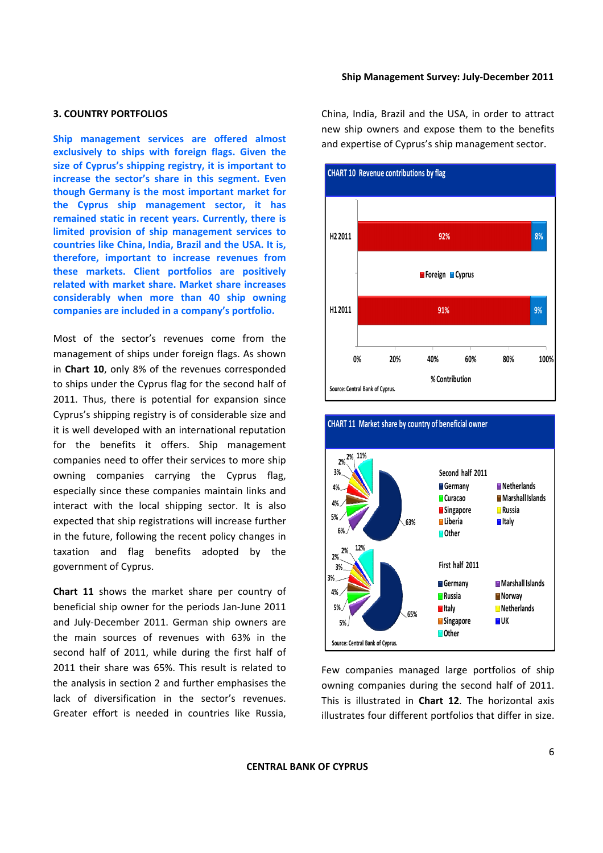## **3. COUNTRY PORTFOLIOS**

**Ship management services are offered almost exclusively to ships with foreign flags. Given the size of Cyprus's shipping registry, it is important to increase the sector's share in this segment. Even though Germany is the most important market for the Cyprus ship management sector, it has remained static in recent years. Currently, there is limited provision of ship management services to countries like China, India, Brazil and the USA. It is, therefore, important to increase revenues from these markets. Client portfolios are positively related with market share. Market share increases considerably when more than 40 ship owning companies are included in a company's portfolio.**

Most of the sector's revenues come from the management of ships under foreign flags. As shown in **Chart 10**, only 8% of the revenues corresponded to ships under the Cyprus flag for the second half of 2011. Thus, there is potential for expansion since Cyprus's shipping registry is of considerable size and it is well developed with an international reputation for the benefits it offers. Ship management companies need to offer their services to more ship owning companies carrying the Cyprus flag, especially since these companies maintain links and interact with the local shipping sector. It is also expected that ship registrations will increase further in the future, following the recent policy changes in taxation and flag benefits adopted by the government of Cyprus.

**Chart 11** shows the market share per country of beneficial ship owner for the periods Jan‐June 2011 and July‐December 2011. German ship owners are the main sources of revenues with 63% in the second half of 2011, while during the first half of 2011 their share was 65%. This result is related to the analysis in section 2 and further emphasises the lack of diversification in the sector's revenues. Greater effort is needed in countries like Russia, China, India, Brazil and the USA, in order to attract new ship owners and expose them to the benefits and expertise of Cyprus's ship management sector.





**CHART 11 Market share by country of beneficial owner**

Few companies managed large portfolios of ship owning companies during the second half of 2011. This is illustrated in **Chart 12**. The horizontal axis illustrates four different portfolios that differ in size.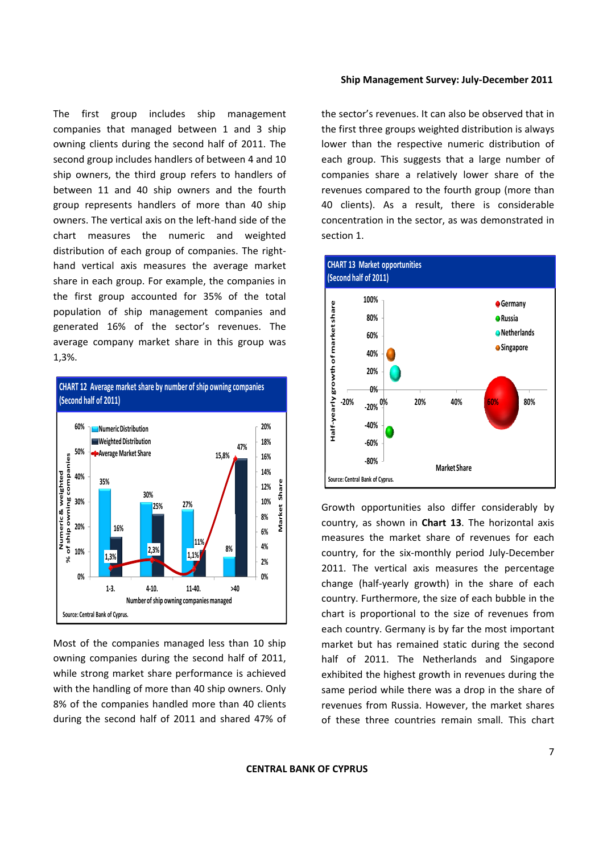The first group includes ship management companies that managed between 1 and 3 ship owning clients during the second half of 2011. The second group includes handlers of between 4 and 10 ship owners, the third group refers to handlers of between 11 and 40 ship owners and the fourth group represents handlers of more than 40 ship owners. The vertical axis on the left‐hand side of the chart measures the numeric and weighted distribution of each group of companies. The right‐ hand vertical axis measures the average market share in each group. For example, the companies in the first group accounted for 35% of the total population of ship management companies and generated 16% of the sector's revenues. The average company market share in this group was 1,3%.



Most of the companies managed less than 10 ship owning companies during the second half of 2011, while strong market share performance is achieved with the handling of more than 40 ship owners. Only 8% of the companies handled more than 40 clients during the second half of 2011 and shared 47% of the sector's revenues. It can also be observed that in the first three groups weighted distribution is always lower than the respective numeric distribution of each group. This suggests that a large number of companies share a relatively lower share of the revenues compared to the fourth group (more than 40 clients). As a result, there is considerable concentration in the sector, as was demonstrated in section 1.



Growth opportunities also differ considerably by country, as shown in **Chart 13**. The horizontal axis measures the market share of revenues for each country, for the six‐monthly period July‐December 2011. The vertical axis measures the percentage change (half‐yearly growth) in the share of each country. Furthermore, the size of each bubble in the chart is proportional to the size of revenues from each country. Germany is by far the most important market but has remained static during the second half of 2011. The Netherlands and Singapore exhibited the highest growth in revenues during the same period while there was a drop in the share of revenues from Russia. However, the market shares of these three countries remain small. This chart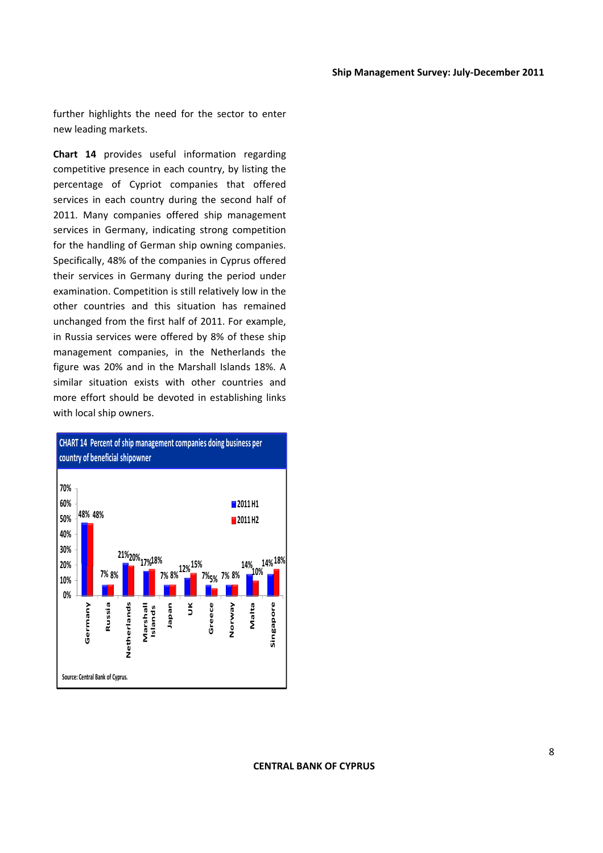further highlights the need for the sector to enter new leading markets.

**Chart 14** provides useful information regarding competitive presence in each country, by listing the percentage of Cypriot companies that offered services in each country during the second half of 2011. Many companies offered ship management services in Germany, indicating strong competition for the handling of German ship owning companies. Specifically, 48% of the companies in Cyprus offered their services in Germany during the period under examination. Competition is still relatively low in the other countries and this situation has remained unchanged from the first half of 2011. For example, in Russia services were offered by 8% of these ship management companies, in the Netherlands the figure was 20% and in the Marshall Islands 18%. A similar situation exists with other countries and more effort should be devoted in establishing links with local ship owners.

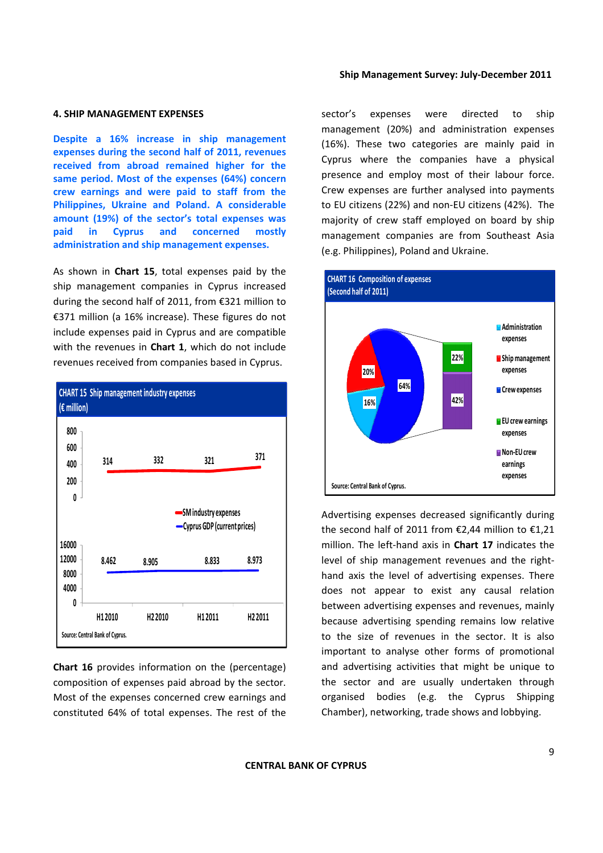#### **4. SHIP MANAGEMENT EXPENSES**

**Despite a 16% increase in ship management expenses during the second half of 2011, revenues received from abroad remained higher for the same period. Most of the expenses (64%) concern crew earnings and were paid to staff from the Philippines, Ukraine and Poland. A considerable amount (19%) of the sector's total expenses was paid in Cyprus and concerned mostly administration and ship management expenses.**

As shown in **Chart 15**, total expenses paid by the ship management companies in Cyprus increased during the second half of 2011, from €321 million to €371 million (a 16% increase). These figures do not include expenses paid in Cyprus and are compatible with the revenues in **Chart 1**, which do not include revenues received from companies based in Cyprus.



**Chart 16** provides information on the (percentage) composition of expenses paid abroad by the sector. Most of the expenses concerned crew earnings and constituted 64% of total expenses. The rest of the sector's expenses were directed to ship management (20%) and administration expenses (16%). These two categories are mainly paid in Cyprus where the companies have a physical presence and employ most of their labour force. Crew expenses are further analysed into payments to EU citizens (22%) and non‐EU citizens (42%). The majority of crew staff employed on board by ship management companies are from Southeast Asia (e.g. Philippines), Poland and Ukraine.



Advertising expenses decreased significantly during the second half of 2011 from €2,44 million to €1,21 million. The left‐hand axis in **Chart 17** indicates the level of ship management revenues and the right‐ hand axis the level of advertising expenses. There does not appear to exist any causal relation between advertising expenses and revenues, mainly because advertising spending remains low relative to the size of revenues in the sector. It is also important to analyse other forms of promotional and advertising activities that might be unique to the sector and are usually undertaken through organised bodies (e.g. the Cyprus Shipping Chamber), networking, trade shows and lobbying.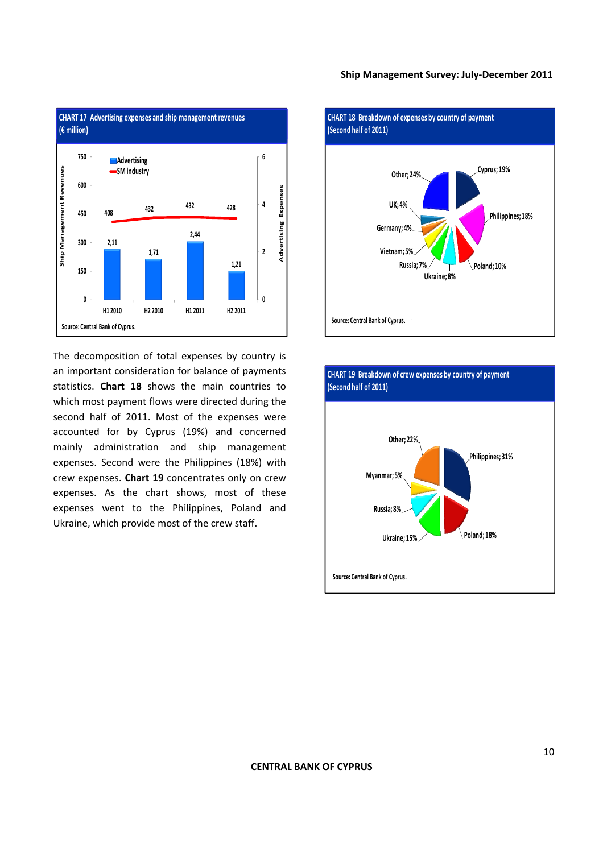

The decomposition of total expenses by country is an important consideration for balance of payments statistics. **Chart 18** shows the main countries to which most payment flows were directed during the second half of 2011. Most of the expenses were accounted for by Cyprus (19%) and concerned mainly administration and ship management expenses. Second were the Philippines (18%) with crew expenses. **Chart 19** concentrates only on crew expenses. As the chart shows, most of these expenses went to the Philippines, Poland and Ukraine, which provide most of the crew staff.